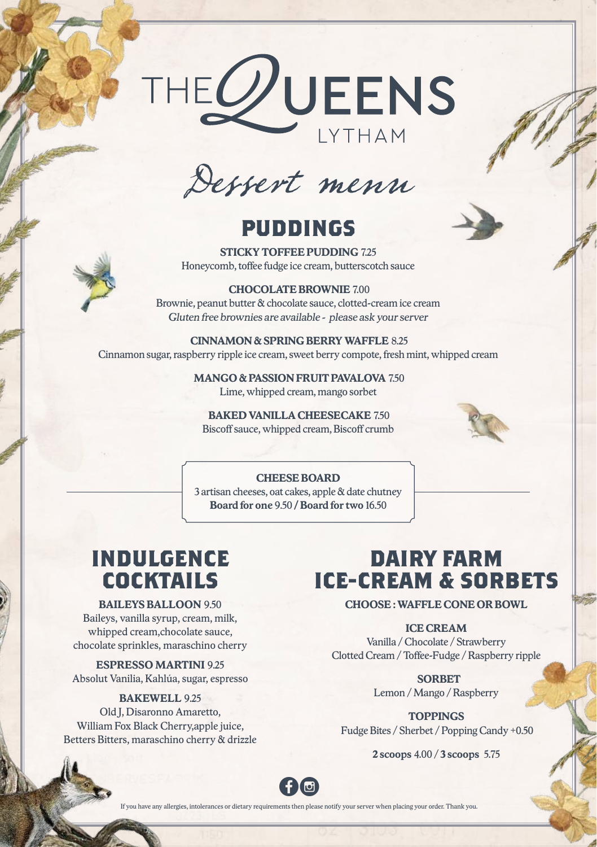

Dessert menu

## **PUDDINGS**



**STICKY TOFFEE PUDDING** 7.25 Honeycomb, toffee fudge ice cream, butterscotch sauce

**CHOCOLATE BROWNIE** 7.00 Brownie, peanut butter & chocolate sauce, clotted-cream ice cream *Gluten free brownies are available - please ask your server*

 **CINNAMON & SPRING BERRY WAFFLE** 8.25 Cinnamon sugar, raspberry ripple ice cream, sweet berry compote, fresh mint, whipped cream

> **MANGO & PASSION FRUIT PAVALOVA** 7.50 Lime, whipped cream, mango sorbet

 **BAKED VANILLA CHEESECAKE** 7.50 Biscoff sauce, whipped cream, Biscoff crumb



#### **CHEESE BOARD**

3 artisan cheeses, oat cakes, apple & date chutney **Board for one** 9.50 **/ Board for two** 16.50

## **INDULGENCE COCKTAILS**

#### **BAILEYS BALLOON** 9.50

Baileys, vanilla syrup, cream, milk, whipped cream,chocolate sauce, chocolate sprinkles, maraschino cherry

**ESPRESSO MARTINI** 9.25

Absolut Vanilia, Kahlúa, sugar, espresso

### **BAKEWELL** 9.25

Old J, Disaronno Amaretto, William Fox Black Cherry,apple juice, Betters Bitters, maraschino cherry & drizzle

# **DAIRY FARM ICE-CREAM & SORBETS**

**CHOOSE : WAFFLE CONE OR BOWL**

**ICE CREAM** 

Vanilla / Chocolate / Strawberry Clotted Cream / Toffee-Fudge / Raspberry ripple

> **SORBET** Lemon / Mango / Raspberry

**TOPPINGS** Fudge Bites / Sherbet / Popping Candy +0.50

**2 scoops** 4.00 / **3 scoops** 5.75



If you have any allergies, intolerances or dietary requirements then please notify your server when placing your order. Thank you.